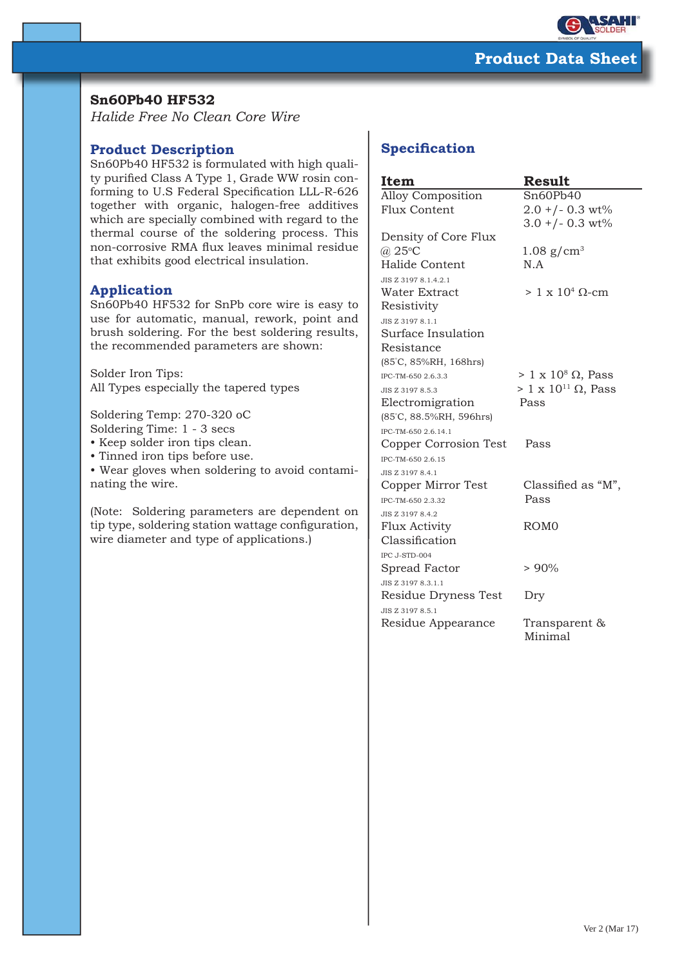

## **Sn60Pb40 HF532**

*Halide Free No Clean Core Wire*

## **Product Description**

Sn60Pb40 HF532 is formulated with high quality purified Class A Type 1, Grade WW rosin conforming to U.S Federal Specification LLL-R-626 together with organic, halogen-free additives which are specially combined with regard to the thermal course of the soldering process. This non-corrosive RMA flux leaves minimal residue that exhibits good electrical insulation.

## **Application**

Sn60Pb40 HF532 for SnPb core wire is easy to use for automatic, manual, rework, point and brush soldering. For the best soldering results, the recommended parameters are shown:

Solder Iron Tips: All Types especially the tapered types

Soldering Temp: 270-320 oC Soldering Time: 1 - 3 secs

• Keep solder iron tips clean.

• Tinned iron tips before use.

• Wear gloves when soldering to avoid contaminating the wire.

(Note: Soldering parameters are dependent on tip type, soldering station wattage configuration, wire diameter and type of applications.)

# **Specification**

| Item                     | <b>Result</b>                   |
|--------------------------|---------------------------------|
| <b>Alloy Composition</b> | Sn60Pb40                        |
| Flux Content             | $2.0 + (-0.3 \text{ wt})$       |
|                          | $3.0 + (-0.3 \text{ wt})$       |
| Density of Core Flux     |                                 |
| $(a)$ 25°C               | $1.08$ g/cm <sup>3</sup>        |
| Halide Content           | N.A                             |
| JIS Z 3197 8.1.4.2.1     |                                 |
| Water Extract            | $> 1 \times 10^4$ Q-cm          |
| Resistivity              |                                 |
| JIS Z 3197 8.1.1         |                                 |
| Surface Insulation       |                                 |
| Resistance               |                                 |
| (85°C, 85%RH, 168hrs)    |                                 |
| IPC-TM-650 2.6.3.3       | $> 1 \times 10^8 \Omega$ , Pass |
| JIS Z 3197 8.5.3         | $> 1 x 1011$ Ω, Pass            |
| Electromigration         | Pass                            |
| (85°C, 88.5%RH, 596hrs)  |                                 |
| IPC-TM-650 2.6.14.1      |                                 |
| Copper Corrosion Test    | Pass                            |
| IPC-TM-650 2.6.15        |                                 |
| JIS Z 3197 8.4.1         |                                 |
| Copper Mirror Test       | Classified as "M",              |
| IPC-TM-650 2.3.32        | Pass                            |
| JIS Z 3197 8.4.2         |                                 |
| <b>Flux Activity</b>     | ROM <sub>0</sub>                |
| Classification           |                                 |
| IPC J-STD-004            |                                 |
| Spread Factor            | $> 90\%$                        |
| JIS Z 3197 8.3.1.1       |                                 |
| Residue Dryness Test     | Dry                             |
| JIS Z 3197 8.5.1         |                                 |
| Residue Appearance       | Transparent &<br>Minimal        |